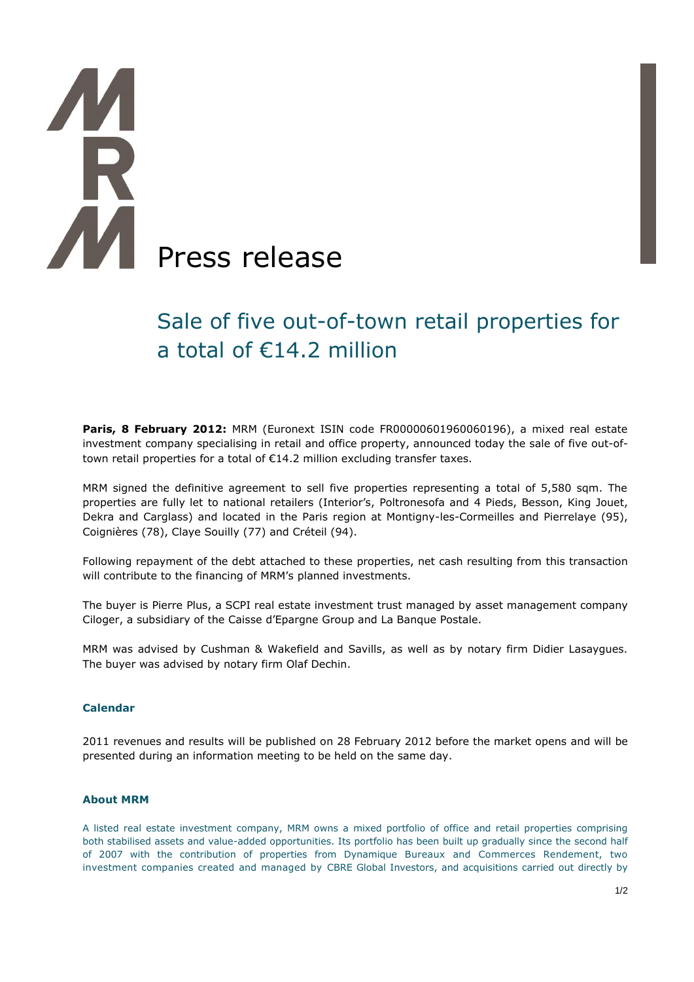# AM Press release

# Sale of five out-of-town retail properties for a total of €14.2 million

**Paris, 8 February 2012:** MRM (Euronext ISIN code FR00000601960060196), a mixed real estate investment company specialising in retail and office property, announced today the sale of five out-oftown retail properties for a total of €14.2 million excluding transfer taxes.

MRM signed the definitive agreement to sell five properties representing a total of 5,580 sqm. The properties are fully let to national retailers (Interior's, Poltronesofa and 4 Pieds, Besson, King Jouet, Dekra and Carglass) and located in the Paris region at Montigny-les-Cormeilles and Pierrelaye (95), Coignières (78), Claye Souilly (77) and Créteil (94).

Following repayment of the debt attached to these properties, net cash resulting from this transaction will contribute to the financing of MRM's planned investments.

The buyer is Pierre Plus, a SCPI real estate investment trust managed by asset management company Ciloger, a subsidiary of the Caisse d'Epargne Group and La Banque Postale.

MRM was advised by Cushman & Wakefield and Savills, as well as by notary firm Didier Lasaygues. The buyer was advised by notary firm Olaf Dechin.

# **Calendar**

2011 revenues and results will be published on 28 February 2012 before the market opens and will be presented during an information meeting to be held on the same day.

## **About MRM**

A listed real estate investment company, MRM owns a mixed portfolio of office and retail properties comprising both stabilised assets and value-added opportunities. Its portfolio has been built up gradually since the second half of 2007 with the contribution of properties from Dynamique Bureaux and Commerces Rendement, two investment companies created and managed by CBRE Global Investors, and acquisitions carried out directly by